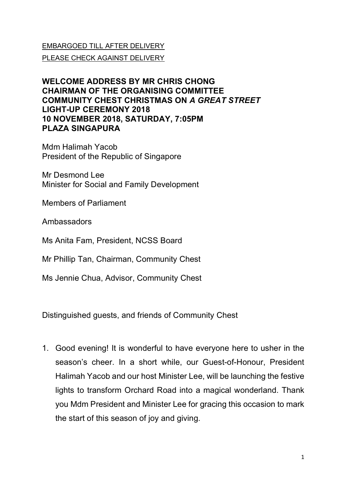## EMBARGOED TILL AFTER DELIVERY

PLEASE CHECK AGAINST DELIVERY

## **WELCOME ADDRESS BY MR CHRIS CHONG CHAIRMAN OF THE ORGANISING COMMITTEE COMMUNITY CHEST CHRISTMAS ON** *A GREAT STREET* **LIGHT-UP CEREMONY 2018 10 NOVEMBER 2018, SATURDAY, 7:05PM PLAZA SINGAPURA**

Mdm Halimah Yacob President of the Republic of Singapore

Mr Desmond Lee Minister for Social and Family Development

Members of Parliament

Ambassadors

Ms Anita Fam, President, NCSS Board

Mr Phillip Tan, Chairman, Community Chest

Ms Jennie Chua, Advisor, Community Chest

Distinguished guests, and friends of Community Chest

1. Good evening! It is wonderful to have everyone here to usher in the season's cheer. In a short while, our Guest-of-Honour, President Halimah Yacob and our host Minister Lee, will be launching the festive lights to transform Orchard Road into a magical wonderland. Thank you Mdm President and Minister Lee for gracing this occasion to mark the start of this season of joy and giving.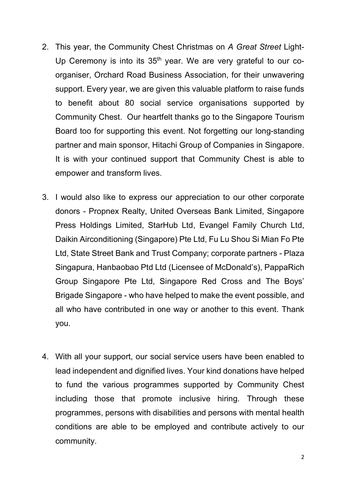- 2. This year, the Community Chest Christmas on *A Great Street* Light-Up Ceremony is into its  $35<sup>th</sup>$  year. We are very grateful to our coorganiser, Orchard Road Business Association, for their unwavering support. Every year, we are given this valuable platform to raise funds to benefit about 80 social service organisations supported by Community Chest. Our heartfelt thanks go to the Singapore Tourism Board too for supporting this event. Not forgetting our long-standing partner and main sponsor, Hitachi Group of Companies in Singapore. It is with your continued support that Community Chest is able to empower and transform lives.
- 3. I would also like to express our appreciation to our other corporate donors - Propnex Realty, United Overseas Bank Limited, Singapore Press Holdings Limited, StarHub Ltd, Evangel Family Church Ltd, Daikin Airconditioning (Singapore) Pte Ltd, Fu Lu Shou Si Mian Fo Pte Ltd, State Street Bank and Trust Company; corporate partners - Plaza Singapura, Hanbaobao Ptd Ltd (Licensee of McDonald's), PappaRich Group Singapore Pte Ltd, Singapore Red Cross and The Boys' Brigade Singapore - who have helped to make the event possible, and all who have contributed in one way or another to this event. Thank you.
- 4. With all your support, our social service users have been enabled to lead independent and dignified lives. Your kind donations have helped to fund the various programmes supported by Community Chest including those that promote inclusive hiring. Through these programmes, persons with disabilities and persons with mental health conditions are able to be employed and contribute actively to our community.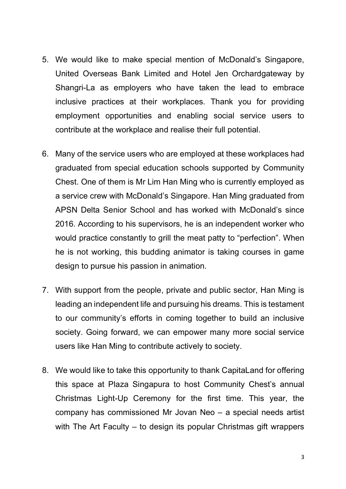- 5. We would like to make special mention of McDonald's Singapore, United Overseas Bank Limited and Hotel Jen Orchardgateway by Shangri-La as employers who have taken the lead to embrace inclusive practices at their workplaces. Thank you for providing employment opportunities and enabling social service users to contribute at the workplace and realise their full potential.
- 6. Many of the service users who are employed at these workplaces had graduated from special education schools supported by Community Chest. One of them is Mr Lim Han Ming who is currently employed as a service crew with McDonald's Singapore. Han Ming graduated from APSN Delta Senior School and has worked with McDonald's since 2016. According to his supervisors, he is an independent worker who would practice constantly to grill the meat patty to "perfection". When he is not working, this budding animator is taking courses in game design to pursue his passion in animation.
- 7. With support from the people, private and public sector, Han Ming is leading an independent life and pursuing his dreams. This is testament to our community's efforts in coming together to build an inclusive society. Going forward, we can empower many more social service users like Han Ming to contribute actively to society.
- 8. We would like to take this opportunity to thank CapitaLand for offering this space at Plaza Singapura to host Community Chest's annual Christmas Light-Up Ceremony for the first time. This year, the company has commissioned Mr Jovan Neo – a special needs artist with The Art Faculty – to design its popular Christmas gift wrappers